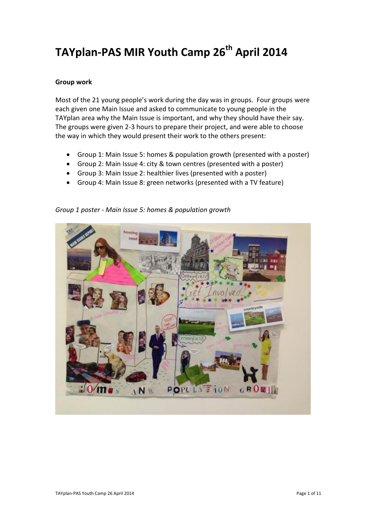# **TAYplan-PAS MIR Youth Camp 26th April 2014**

# **Group work**

Most of the 21 young people's work during the day was in groups. Four groups were each given one Main Issue and asked to communicate to young people in the TAYplan area why the Main Issue is important, and why they should have their say. The groups were given 2-3 hours to prepare their project, and were able to choose the way in which they would present their work to the others present:

- Group 1: Main Issue 5: homes & population growth (presented with a poster)
- Group 2: Main Issue 4: city & town centres (presented with a poster)
- Group 3: Main Issue 2: healthier lives (presented with a poster)
- Group 4: Main Issue 8: green networks (presented with a TV feature)



*Group 1 poster - Main Issue 5: homes & population growth*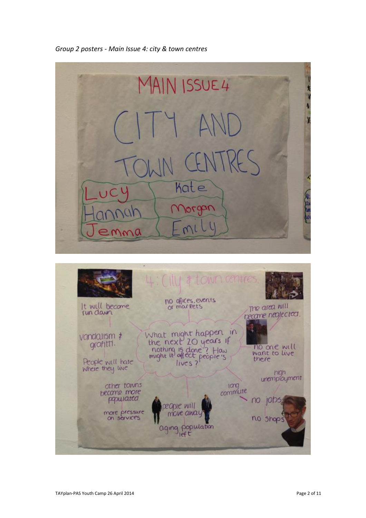

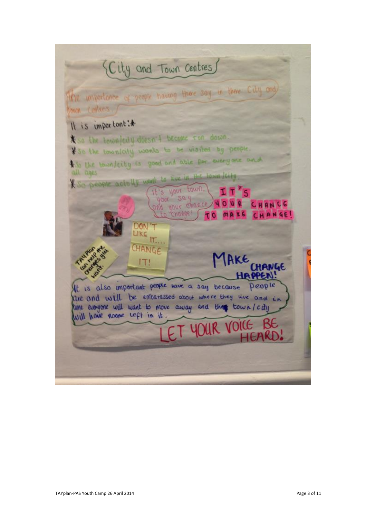{City and Town Centres] The importance of people houring there say in there City and Town Contres. It is important:# \* so the town ledy doesn't become ron down # so the townshifty words to be visited by people. this the townfeity is good and able for everyone and all ages X So people actuly went to live in the It's your town. your say **CHANCE** d your chanc hange! **ANGE** DON'T LIKE  $\overline{\mathfrak{m}}$ CHANGE AkE  $1T!$ CHANGE **HAPPEN!** It is also important people nave a say because people the and will be embarassed about where they live and in kime everyone will want to move away and these town/city will have noone Left in it. ET YOUR VOICE BE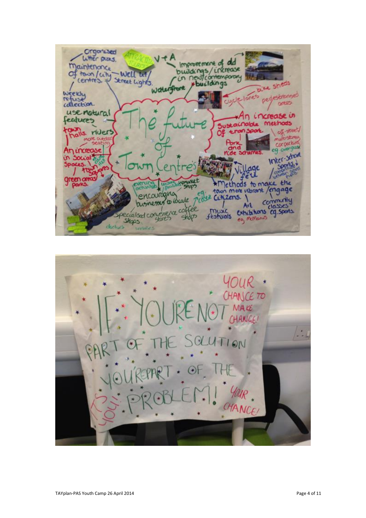**Organised** Wher picks Improvement of ald Maintenance buildings/increase town/city **Well** by new/contemporary Street Lights. centres. buildings sheet waterigh Weekly skrocend refuse ores use natural increase in features methods **Eacnable** 505 river Оf **COF DOE!** eq. over LOCK nde Inter-set ara d N. **TANT** Methods to make the town more ustrant /engage icourague 7. to wate community nette asses ΔY (ée c exhibitions eg. sports. music  $\mathcal{C}$ NO recialised cor shop festwals goves shops docturs See Local

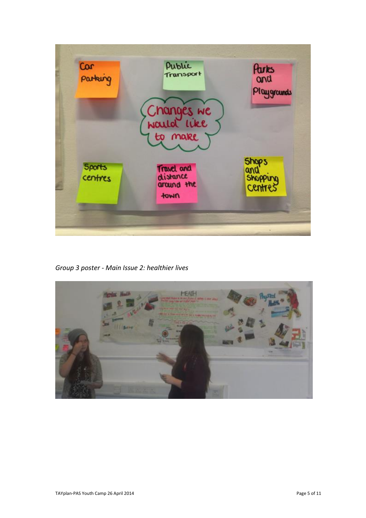

*Group 3 poster - Main Issue 2: healthier lives*

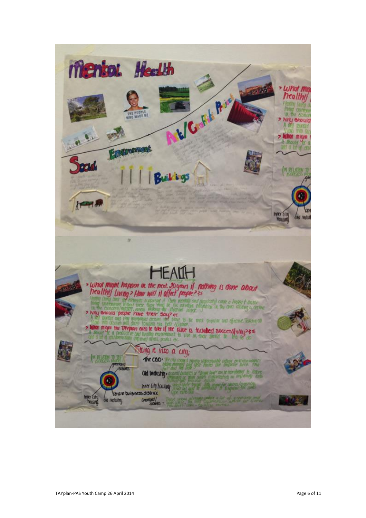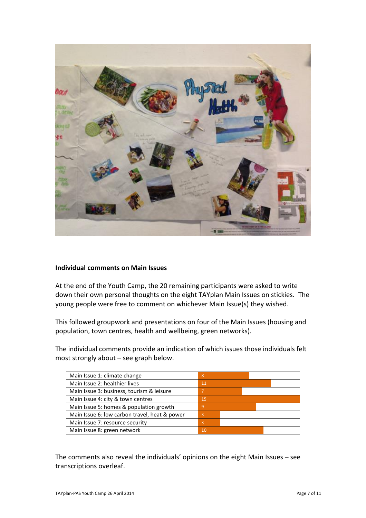

## **Individual comments on Main Issues**

At the end of the Youth Camp, the 20 remaining participants were asked to write down their own personal thoughts on the eight TAYplan Main Issues on stickies. The young people were free to comment on whichever Main Issue(s) they wished.

This followed groupwork and presentations on four of the Main Issues (housing and population, town centres, health and wellbeing, green networks).

The individual comments provide an indication of which issues those individuals felt most strongly about – see graph below.

| Main Issue 1: climate change                  | 8  |
|-----------------------------------------------|----|
| Main Issue 2: healthier lives                 | 11 |
| Main Issue 3: business, tourism & leisure     |    |
| Main Issue 4: city & town centres             | 15 |
| Main Issue 5: homes & population growth       | 9  |
| Main Issue 6: low carbon travel, heat & power | в  |
| Main Issue 7: resource security               | 3  |
| Main Issue 8: green network                   | 10 |

The comments also reveal the individuals' opinions on the eight Main Issues – see transcriptions overleaf.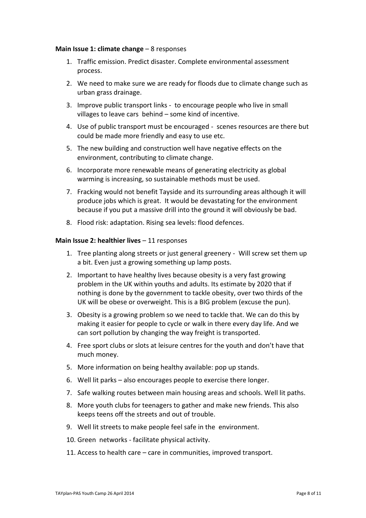## **Main Issue 1: climate change** – 8 responses

- 1. Traffic emission. Predict disaster. Complete environmental assessment process.
- 2. We need to make sure we are ready for floods due to climate change such as urban grass drainage.
- 3. Improve public transport links to encourage people who live in small villages to leave cars behind – some kind of incentive.
- 4. Use of public transport must be encouraged scenes resources are there but could be made more friendly and easy to use etc.
- 5. The new building and construction well have negative effects on the environment, contributing to climate change.
- 6. Incorporate more renewable means of generating electricity as global warming is increasing, so sustainable methods must be used.
- 7. Fracking would not benefit Tayside and its surrounding areas although it will produce jobs which is great. It would be devastating for the environment because if you put a massive drill into the ground it will obviously be bad.
- 8. Flood risk: adaptation. Rising sea levels: flood defences.

## **Main Issue 2: healthier lives** – 11 responses

- 1. Tree planting along streets or just general greenery Will screw set them up a bit. Even just a growing something up lamp posts.
- 2. Important to have healthy lives because obesity is a very fast growing problem in the UK within youths and adults. Its estimate by 2020 that if nothing is done by the government to tackle obesity, over two thirds of the UK will be obese or overweight. This is a BIG problem (excuse the pun).
- 3. Obesity is a growing problem so we need to tackle that. We can do this by making it easier for people to cycle or walk in there every day life. And we can sort pollution by changing the way freight is transported.
- 4. Free sport clubs or slots at leisure centres for the youth and don't have that much money.
- 5. More information on being healthy available: pop up stands.
- 6. Well lit parks also encourages people to exercise there longer.
- 7. Safe walking routes between main housing areas and schools. Well lit paths.
- 8. More youth clubs for teenagers to gather and make new friends. This also keeps teens off the streets and out of trouble.
- 9. Well lit streets to make people feel safe in the environment.
- 10. Green networks facilitate physical activity.
- 11. Access to health care care in communities, improved transport.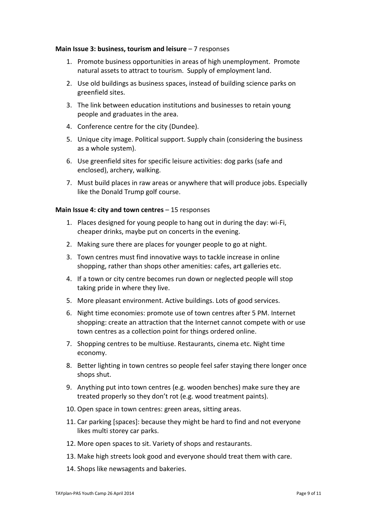## **Main Issue 3: business, tourism and leisure** – 7 responses

- 1. Promote business opportunities in areas of high unemployment. Promote natural assets to attract to tourism. Supply of employment land.
- 2. Use old buildings as business spaces, instead of building science parks on greenfield sites.
- 3. The link between education institutions and businesses to retain young people and graduates in the area.
- 4. Conference centre for the city (Dundee).
- 5. Unique city image. Political support. Supply chain (considering the business as a whole system).
- 6. Use greenfield sites for specific leisure activities: dog parks (safe and enclosed), archery, walking.
- 7. Must build places in raw areas or anywhere that will produce jobs. Especially like the Donald Trump golf course.

## **Main Issue 4: city and town centres** – 15 responses

- 1. Places designed for young people to hang out in during the day: wi-Fi, cheaper drinks, maybe put on concerts in the evening.
- 2. Making sure there are places for younger people to go at night.
- 3. Town centres must find innovative ways to tackle increase in online shopping, rather than shops other amenities: cafes, art galleries etc.
- 4. If a town or city centre becomes run down or neglected people will stop taking pride in where they live.
- 5. More pleasant environment. Active buildings. Lots of good services.
- 6. Night time economies: promote use of town centres after 5 PM. Internet shopping: create an attraction that the Internet cannot compete with or use town centres as a collection point for things ordered online.
- 7. Shopping centres to be multiuse. Restaurants, cinema etc. Night time economy.
- 8. Better lighting in town centres so people feel safer staying there longer once shops shut.
- 9. Anything put into town centres (e.g. wooden benches) make sure they are treated properly so they don't rot (e.g. wood treatment paints).
- 10. Open space in town centres: green areas, sitting areas.
- 11. Car parking [spaces]: because they might be hard to find and not everyone likes multi storey car parks.
- 12. More open spaces to sit. Variety of shops and restaurants.
- 13. Make high streets look good and everyone should treat them with care.
- 14. Shops like newsagents and bakeries.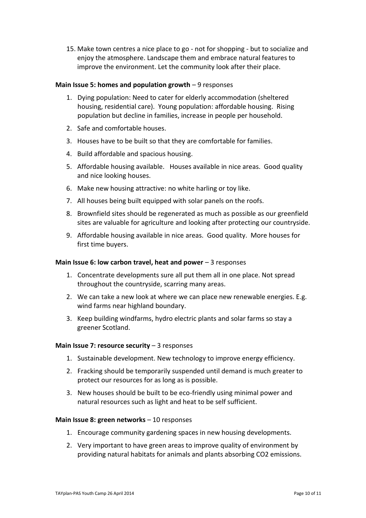15. Make town centres a nice place to go - not for shopping - but to socialize and enjoy the atmosphere. Landscape them and embrace natural features to improve the environment. Let the community look after their place.

## **Main Issue 5: homes and population growth** – 9 responses

- 1. Dying population: Need to cater for elderly accommodation (sheltered housing, residential care). Young population: affordable housing. Rising population but decline in families, increase in people per household.
- 2. Safe and comfortable houses.
- 3. Houses have to be built so that they are comfortable for families.
- 4. Build affordable and spacious housing.
- 5. Affordable housing available. Houses available in nice areas. Good quality and nice looking houses.
- 6. Make new housing attractive: no white harling or toy like.
- 7. All houses being built equipped with solar panels on the roofs.
- 8. Brownfield sites should be regenerated as much as possible as our greenfield sites are valuable for agriculture and looking after protecting our countryside.
- 9. Affordable housing available in nice areas. Good quality. More houses for first time buyers.

## **Main Issue 6: low carbon travel, heat and power** – 3 responses

- 1. Concentrate developments sure all put them all in one place. Not spread throughout the countryside, scarring many areas.
- 2. We can take a new look at where we can place new renewable energies. E.g. wind farms near highland boundary.
- 3. Keep building windfarms, hydro electric plants and solar farms so stay a greener Scotland.

## **Main Issue 7: resource security** – 3 responses

- 1. Sustainable development. New technology to improve energy efficiency.
- 2. Fracking should be temporarily suspended until demand is much greater to protect our resources for as long as is possible.
- 3. New houses should be built to be eco-friendly using minimal power and natural resources such as light and heat to be self sufficient.

## **Main Issue 8: green networks** – 10 responses

- 1. Encourage community gardening spaces in new housing developments.
- 2. Very important to have green areas to improve quality of environment by providing natural habitats for animals and plants absorbing CO2 emissions.